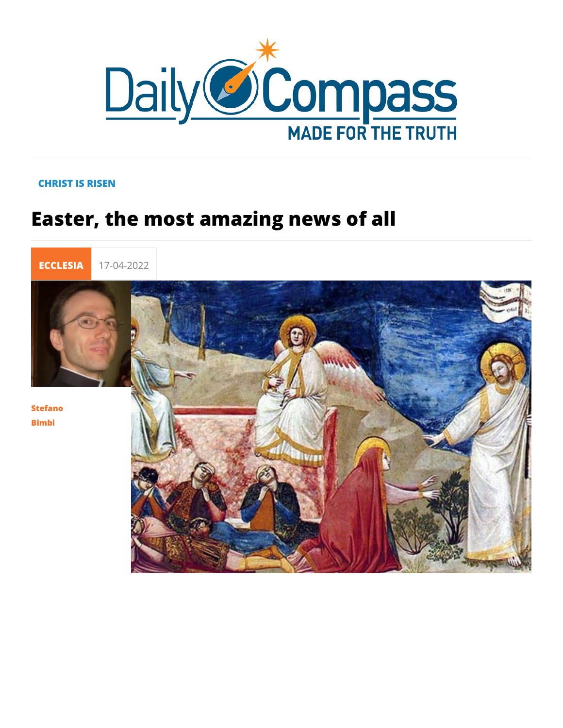## CHRIST IS RISEN

## Easter, the most amazing news of all

ECCLES 17-04-2022

Stefano Bimbi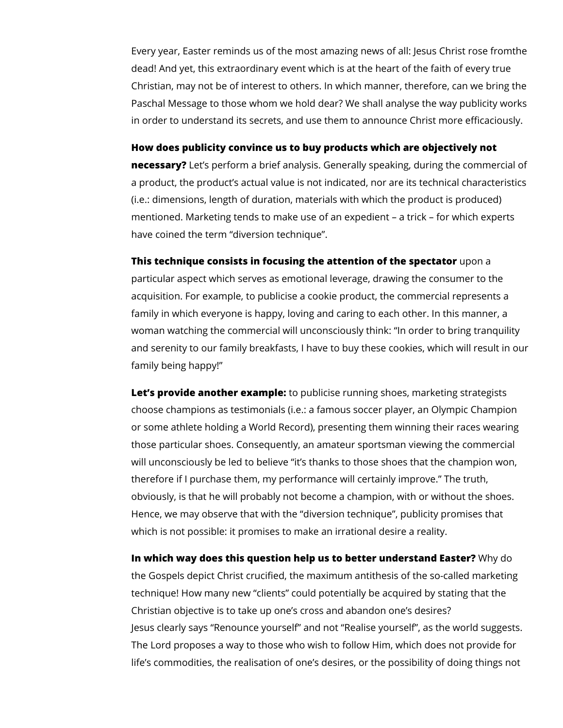Every year, Easter reminds us of the most amazing news of all: Jesus Christ rose fromthe dead! And yet, this extraordinary event which is at the heart of the faith of every true Christian, may not be of interest to others. In which manner, therefore, can we bring the Paschal Message to those whom we hold dear? We shall analyse the way publicity works in order to understand its secrets, and use them to announce Christ more efficaciously.

**How does publicity convince us to buy products which are objectively not** 

**necessary?** Let's perform a brief analysis. Generally speaking, during the commercial of a product, the product's actual value is not indicated, nor are its technical characteristics (i.e.: dimensions, length of duration, materials with which the product is produced) mentioned. Marketing tends to make use of an expedient – a trick – for which experts have coined the term "diversion technique".

**This technique consists in focusing the attention of the spectator** upon a particular aspect which serves as emotional leverage, drawing the consumer to the acquisition. For example, to publicise a cookie product, the commercial represents a family in which everyone is happy, loving and caring to each other. In this manner, a woman watching the commercial will unconsciously think: "In order to bring tranquility and serenity to our family breakfasts, I have to buy these cookies, which will result in our family being happy!"

**Let's provide another example:** to publicise running shoes, marketing strategists choose champions as testimonials (i.e.: a famous soccer player, an Olympic Champion or some athlete holding a World Record), presenting them winning their races wearing those particular shoes. Consequently, an amateur sportsman viewing the commercial will unconsciously be led to believe "it's thanks to those shoes that the champion won, therefore if I purchase them, my performance will certainly improve." The truth, obviously, is that he will probably not become a champion, with or without the shoes. Hence, we may observe that with the "diversion technique", publicity promises that which is not possible: it promises to make an irrational desire a reality.

**In which way does this question help us to better understand Easter?** Why do the Gospels depict Christ crucified, the maximum antithesis of the so-called marketing technique! How many new "clients" could potentially be acquired by stating that the Christian objective is to take up one's cross and abandon one's desires? Jesus clearly says "Renounce yourself" and not "Realise yourself", as the world suggests. The Lord proposes a way to those who wish to follow Him, which does not provide for life's commodities, the realisation of one's desires, or the possibility of doing things not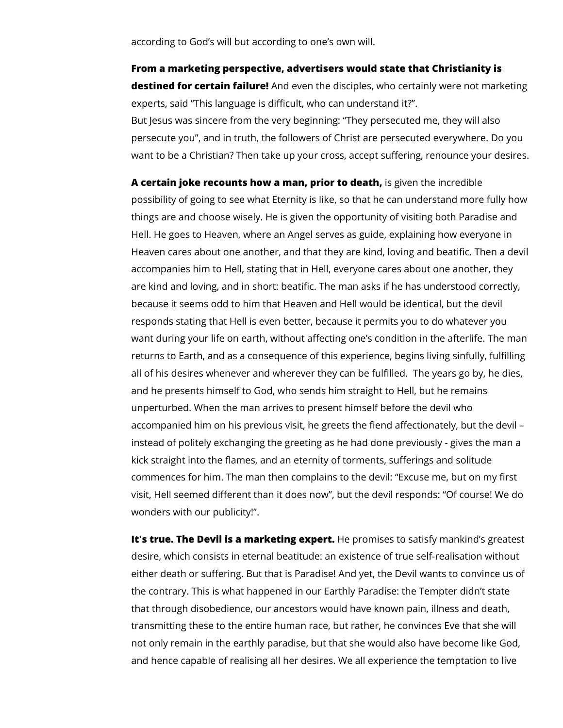according to God's will but according to one's own will.

## **From a marketing perspective, advertisers would state that Christianity is**

**destined for certain failure!** And even the disciples, who certainly were not marketing experts, said "This language is difficult, who can understand it?".

But Jesus was sincere from the very beginning: "They persecuted me, they will also persecute you", and in truth, the followers of Christ are persecuted everywhere. Do you want to be a Christian? Then take up your cross, accept suffering, renounce your desires.

**A certain joke recounts how a man, prior to death,** is given the incredible possibility of going to see what Eternity is Iike, so that he can understand more fully how things are and choose wisely. He is given the opportunity of visiting both Paradise and Hell. He goes to Heaven, where an Angel serves as guide, explaining how everyone in Heaven cares about one another, and that they are kind, loving and beatific. Then a devil accompanies him to Hell, stating that in Hell, everyone cares about one another, they are kind and loving, and in short: beatific. The man asks if he has understood correctly, because it seems odd to him that Heaven and Hell would be identical, but the devil responds stating that Hell is even better, because it permits you to do whatever you want during your life on earth, without affecting one's condition in the afterlife. The man returns to Earth, and as a consequence of this experience, begins living sinfully, fulfilling all of his desires whenever and wherever they can be fulfilled. The years go by, he dies, and he presents himself to God, who sends him straight to Hell, but he remains unperturbed. When the man arrives to present himself before the devil who accompanied him on his previous visit, he greets the fiend affectionately, but the devil – instead of politely exchanging the greeting as he had done previously - gives the man a kick straight into the flames, and an eternity of torments, sufferings and solitude commences for him. The man then complains to the devil: "Excuse me, but on my first visit, Hell seemed different than it does now", but the devil responds: "Of course! We do wonders with our publicity!".

**It's true. The Devil is a marketing expert.** He promises to satisfy mankind's greatest desire, which consists in eternal beatitude: an existence of true self-realisation without either death or suffering. But that is Paradise! And yet, the Devil wants to convince us of the contrary. This is what happened in our Earthly Paradise: the Tempter didn't state that through disobedience, our ancestors would have known pain, illness and death, transmitting these to the entire human race, but rather, he convinces Eve that she will not only remain in the earthly paradise, but that she would also have become like God, and hence capable of realising all her desires. We all experience the temptation to live